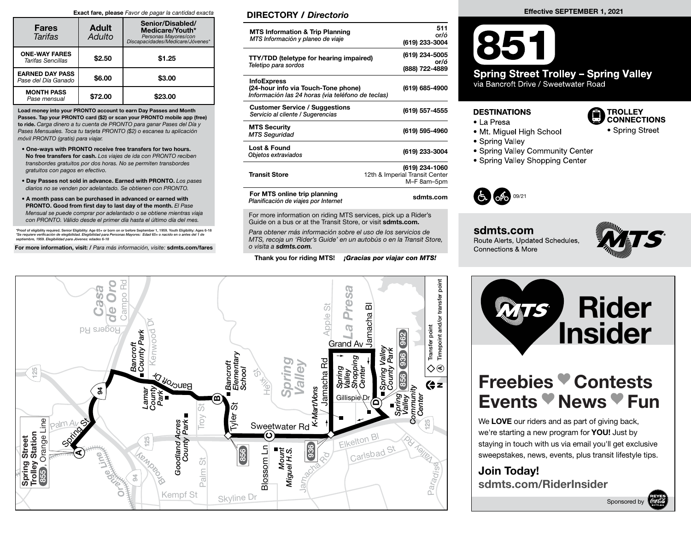#### Exact fare, please Favor de pagar la cantidad exacta

| <b>Fares</b><br>Tarifas                       | <b>Adult</b><br>Adulto | Senior/Disabled/<br>Medicare/Youth*<br>Personas Mayores/con<br>*biscapacidades/Medicare/Jóvenes |  |  |
|-----------------------------------------------|------------------------|-------------------------------------------------------------------------------------------------|--|--|
| <b>ONE-WAY FARES</b><br>Tarifas Sencillas     | \$2.50                 | \$1.25                                                                                          |  |  |
| <b>EARNED DAY PASS</b><br>Pase del Día Ganado | \$6.00                 | \$3.00                                                                                          |  |  |
| <b>MONTH PASS</b><br>Pase mensual             | \$72.00                | \$23.00                                                                                         |  |  |

Load money into your PRONTO account to earn Day Passes and Month Passes. Tap your PRONTO card (\$2) or scan your PRONTO mobile app (free) to ride. Carga dinero a tu cuenta de PRONTO para ganar Pases del Día y Pases Mensuales. Toca tu tarjeta PRONTO (\$2) o escanea tu aplicación móvil PRONTO (gratis) para viajar.

- One-ways with PRONTO receive free transfers for two hours. No free transfers for cash. Los viajes de ida con PRONTO reciben transbordes gratuitos por dos horas. No se permiten transbordes gratuitos con pagos en efectivo.
- Day Passes not sold in advance. Earned with PRONTO. Los pases diarios no se venden por adelantado. Se obtienen con PRONTO.
- A month pass can be purchased in advanced or earned with PRONTO. Good from first day to last day of the month. El Pase Mensual se puede comprar por adelantado o se obtiene mientras viaja con PRONTO. Válido desde el primer día hasta el último día del mes.

\*Proof of eligibility required. Senior Eligibility: Age 65+ or born on or before September 1, 1959. Youth Eligibility: Ages 6-18<br>\*Se requiere verificación de elegibilidad. Elegibilidad para Personas Mayores: Edad 65+ o nac

For more information, visit: / Para más información, visite: sdmts.com/fares

#### DIRECTORY / Directorio

| <b>MTS Information &amp; Trip Planning</b><br>MTS Información y planeo de viaje                                | 511<br>or/ó<br>(619) 233-3004                                   |
|----------------------------------------------------------------------------------------------------------------|-----------------------------------------------------------------|
| <b>TTY/TDD (teletype for hearing impaired)</b><br>Teletipo para sordos                                         | (619) 234-5005<br>or/ó<br>(888) 722-4889                        |
| <b>InfoExpress</b><br>(24-hour info via Touch-Tone phone)<br>Información las 24 horas (via teléfono de teclas) | (619) 685-4900                                                  |
| <b>Customer Service / Suggestions</b><br>Servicio al cliente / Sugerencias                                     | (619) 557-4555                                                  |
| <b>MTS Security</b><br><b>MTS Seguridad</b>                                                                    | (619) 595-4960                                                  |
| Lost & Found<br>Objetos extraviados                                                                            | (619) 233-3004                                                  |
| <b>Transit Store</b>                                                                                           | (619) 234-1060<br>12th & Imperial Transit Center<br>M-F 8am-5pm |
| For MTS online trip planning<br>Planificación de viajes por Internet                                           | sdmts.com                                                       |

For more information on riding MTS services, pick up a Rider's Guide on a bus or at the Transit Store, or visit sdmts.com.

Para obtener más información sobre el uso de los servicios de MTS, recoja un 'Rider's Guide' en un autobús o en la Transit Store, o visita a sdmts.com.

Thank you for riding MTS! **¡Gracias por viajar con MTS!** 



#### Effective SEPTEMBER 1, 2021

## 851 **Spring Street Trolley - Spring Valley**

via Bancroft Drive / Sweetwater Road

#### **DESTINATIONS**

- La Presa
- Mt. Miguel High School
- Spring Valley
- Spring Valley Community Center
- Spring Valley Shopping Center



sdmts.com Route Alerts, Updated Schedules, Connections & More



TROLLEY<br>CONNECTIONS

• Spring Street

# Rider **The Rider**<br> **Insider**

### Freebies Contests Events *News* Fun

we're starting a new program for **YOU!** Just by We LOVE our riders and as part of giving back, staying in touch with us via email you'll get exclusive sweepstakes, news, events, plus transit lifestyle tips.

Join Today! sdmts.com/RiderInsider

Sponsored by